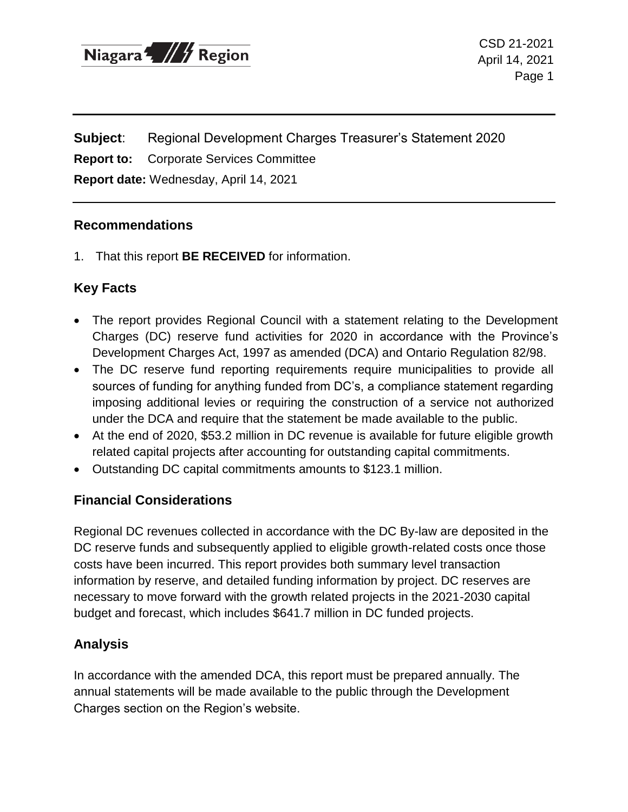

CSD 21-2021 April 14, 2021 Page 1

**Subject**: Regional Development Charges Treasurer's Statement 2020

**Report to:** Corporate Services Committee

**Report date:** Wednesday, April 14, 2021

#### **Recommendations**

1. That this report **BE RECEIVED** for information.

### **Key Facts**

- The report provides Regional Council with a statement relating to the Development Charges (DC) reserve fund activities for 2020 in accordance with the Province's Development Charges Act, 1997 as amended (DCA) and Ontario Regulation 82/98.
- The DC reserve fund reporting requirements require municipalities to provide all sources of funding for anything funded from DC's, a compliance statement regarding imposing additional levies or requiring the construction of a service not authorized under the DCA and require that the statement be made available to the public.
- At the end of 2020, \$53.2 million in DC revenue is available for future eligible growth related capital projects after accounting for outstanding capital commitments.
- Outstanding DC capital commitments amounts to \$123.1 million.

#### **Financial Considerations**

Regional DC revenues collected in accordance with the DC By-law are deposited in the DC reserve funds and subsequently applied to eligible growth-related costs once those costs have been incurred. This report provides both summary level transaction information by reserve, and detailed funding information by project. DC reserves are necessary to move forward with the growth related projects in the 2021-2030 capital budget and forecast, which includes \$641.7 million in DC funded projects.

## **Analysis**

In accordance with the amended DCA, this report must be prepared annually. The annual statements will be made available to the public through the Development Charges section on the Region's website.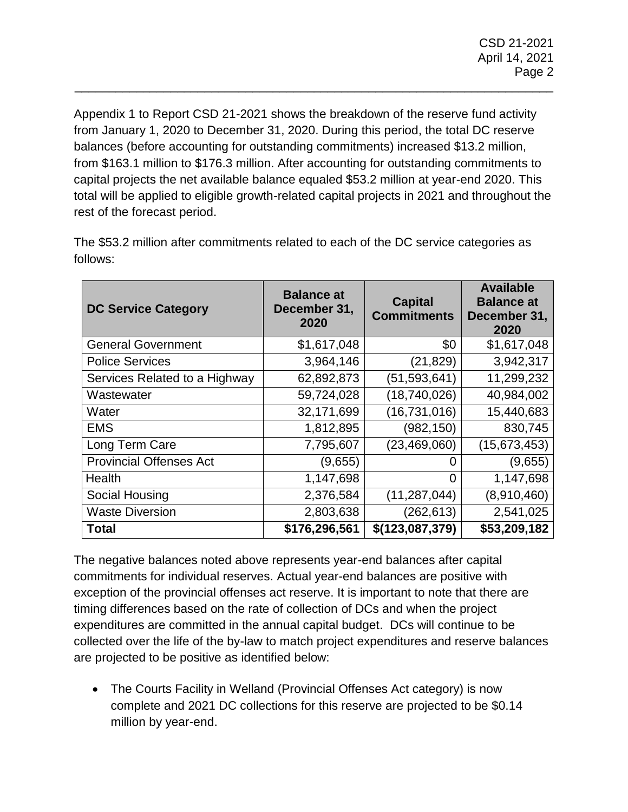Appendix 1 to Report CSD 21-2021 shows the breakdown of the reserve fund activity from January 1, 2020 to December 31, 2020. During this period, the total DC reserve balances (before accounting for outstanding commitments) increased \$13.2 million, from \$163.1 million to \$176.3 million. After accounting for outstanding commitments to capital projects the net available balance equaled \$53.2 million at year-end 2020. This total will be applied to eligible growth-related capital projects in 2021 and throughout the rest of the forecast period.

\_\_\_\_\_\_\_\_\_\_\_\_\_\_\_\_\_\_\_\_\_\_\_\_\_\_\_\_\_\_\_\_\_\_\_\_\_\_\_\_\_\_\_\_\_\_\_\_\_\_\_\_\_\_\_\_\_\_\_\_\_\_\_\_\_\_\_\_\_\_

| <b>DC Service Category</b>     | <b>Balance at</b><br>December 31,<br>2020 | <b>Capital</b><br><b>Commitments</b> | <b>Available</b><br><b>Balance at</b><br>December 31,<br>2020 |
|--------------------------------|-------------------------------------------|--------------------------------------|---------------------------------------------------------------|
| <b>General Government</b>      | \$1,617,048                               | \$0                                  | \$1,617,048                                                   |
| <b>Police Services</b>         | 3,964,146                                 | (21, 829)                            | 3,942,317                                                     |
| Services Related to a Highway  | 62,892,873                                | (51, 593, 641)                       | 11,299,232                                                    |
| Wastewater                     | 59,724,028                                | (18,740,026)                         | 40,984,002                                                    |
| Water                          | 32,171,699                                | (16, 731, 016)                       | 15,440,683                                                    |
| <b>EMS</b>                     | 1,812,895                                 | (982,150)                            | 830,745                                                       |
| Long Term Care                 | 7,795,607                                 | (23, 469, 060)                       | (15, 673, 453)                                                |
| <b>Provincial Offenses Act</b> | (9,655)                                   | O                                    | (9,655)                                                       |
| Health                         | 1,147,698                                 | 0                                    | 1,147,698                                                     |
| Social Housing                 | 2,376,584                                 | (11, 287, 044)                       | (8,910,460)                                                   |
| <b>Waste Diversion</b>         | 2,803,638                                 | (262, 613)                           | 2,541,025                                                     |
| <b>Total</b>                   | \$176,296,561                             | \$(123,087,379)                      | \$53,209,182                                                  |

The \$53.2 million after commitments related to each of the DC service categories as follows:

The negative balances noted above represents year-end balances after capital commitments for individual reserves. Actual year-end balances are positive with exception of the provincial offenses act reserve. It is important to note that there are timing differences based on the rate of collection of DCs and when the project expenditures are committed in the annual capital budget. DCs will continue to be collected over the life of the by-law to match project expenditures and reserve balances are projected to be positive as identified below:

• The Courts Facility in Welland (Provincial Offenses Act category) is now complete and 2021 DC collections for this reserve are projected to be \$0.14 million by year-end.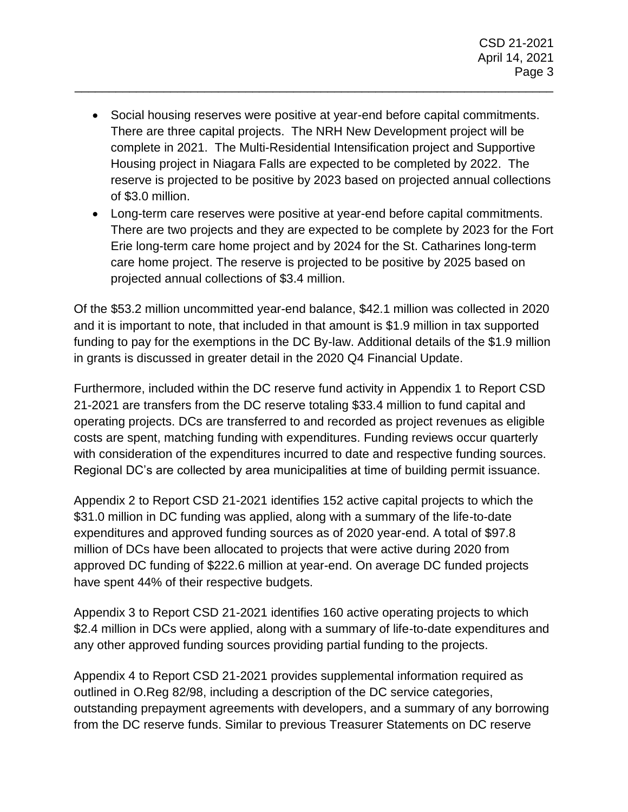Social housing reserves were positive at year-end before capital commitments. There are three capital projects. The NRH New Development project will be complete in 2021. The Multi-Residential Intensification project and Supportive Housing project in Niagara Falls are expected to be completed by 2022. The reserve is projected to be positive by 2023 based on projected annual collections of \$3.0 million.

\_\_\_\_\_\_\_\_\_\_\_\_\_\_\_\_\_\_\_\_\_\_\_\_\_\_\_\_\_\_\_\_\_\_\_\_\_\_\_\_\_\_\_\_\_\_\_\_\_\_\_\_\_\_\_\_\_\_\_\_\_\_\_\_\_\_\_\_\_\_

 Long-term care reserves were positive at year-end before capital commitments. There are two projects and they are expected to be complete by 2023 for the Fort Erie long-term care home project and by 2024 for the St. Catharines long-term care home project. The reserve is projected to be positive by 2025 based on projected annual collections of \$3.4 million.

Of the \$53.2 million uncommitted year-end balance, \$42.1 million was collected in 2020 and it is important to note, that included in that amount is \$1.9 million in tax supported funding to pay for the exemptions in the DC By-law. Additional details of the \$1.9 million in grants is discussed in greater detail in the 2020 Q4 Financial Update.

Furthermore, included within the DC reserve fund activity in Appendix 1 to Report CSD 21-2021 are transfers from the DC reserve totaling \$33.4 million to fund capital and operating projects. DCs are transferred to and recorded as project revenues as eligible costs are spent, matching funding with expenditures. Funding reviews occur quarterly with consideration of the expenditures incurred to date and respective funding sources. Regional DC's are collected by area municipalities at time of building permit issuance.

Appendix 2 to Report CSD 21-2021 identifies 152 active capital projects to which the \$31.0 million in DC funding was applied, along with a summary of the life-to-date expenditures and approved funding sources as of 2020 year-end. A total of \$97.8 million of DCs have been allocated to projects that were active during 2020 from approved DC funding of \$222.6 million at year-end. On average DC funded projects have spent 44% of their respective budgets.

Appendix 3 to Report CSD 21-2021 identifies 160 active operating projects to which \$2.4 million in DCs were applied, along with a summary of life-to-date expenditures and any other approved funding sources providing partial funding to the projects.

Appendix 4 to Report CSD 21-2021 provides supplemental information required as outlined in O.Reg 82/98, including a description of the DC service categories, outstanding prepayment agreements with developers, and a summary of any borrowing from the DC reserve funds. Similar to previous Treasurer Statements on DC reserve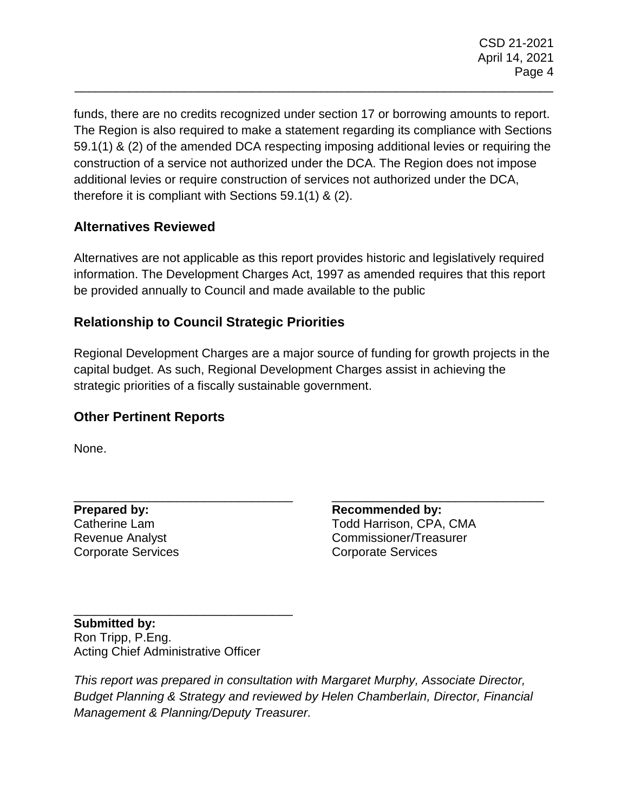funds, there are no credits recognized under section 17 or borrowing amounts to report. The Region is also required to make a statement regarding its compliance with Sections 59.1(1) & (2) of the amended DCA respecting imposing additional levies or requiring the construction of a service not authorized under the DCA. The Region does not impose additional levies or require construction of services not authorized under the DCA, therefore it is compliant with Sections 59.1(1) & (2).

\_\_\_\_\_\_\_\_\_\_\_\_\_\_\_\_\_\_\_\_\_\_\_\_\_\_\_\_\_\_\_\_\_\_\_\_\_\_\_\_\_\_\_\_\_\_\_\_\_\_\_\_\_\_\_\_\_\_\_\_\_\_\_\_\_\_\_\_\_\_

# **Alternatives Reviewed**

Alternatives are not applicable as this report provides historic and legislatively required information. The Development Charges Act, 1997 as amended requires that this report be provided annually to Council and made available to the public

# **Relationship to Council Strategic Priorities**

Regional Development Charges are a major source of funding for growth projects in the capital budget. As such, Regional Development Charges assist in achieving the strategic priorities of a fiscally sustainable government.

## **Other Pertinent Reports**

None.

**Prepared by:**  Catherine Lam Revenue Analyst Corporate Services

\_\_\_\_\_\_\_\_\_\_\_\_\_\_\_\_\_\_\_\_\_\_\_\_\_\_\_\_\_\_\_ **Recommended by:**  Todd Harrison, CPA, CMA Commissioner/Treasurer Corporate Services

**Submitted by:**  Ron Tripp, P.Eng. Acting Chief Administrative Officer

\_\_\_\_\_\_\_\_\_\_\_\_\_\_\_\_\_\_\_\_\_\_\_\_\_\_\_\_\_\_\_\_

\_\_\_\_\_\_\_\_\_\_\_\_\_\_\_\_\_\_\_\_\_\_\_\_\_\_\_\_\_\_\_\_

*This report was prepared in consultation with Margaret Murphy, Associate Director, Budget Planning & Strategy and reviewed by Helen Chamberlain, Director, Financial Management & Planning/Deputy Treasurer.*